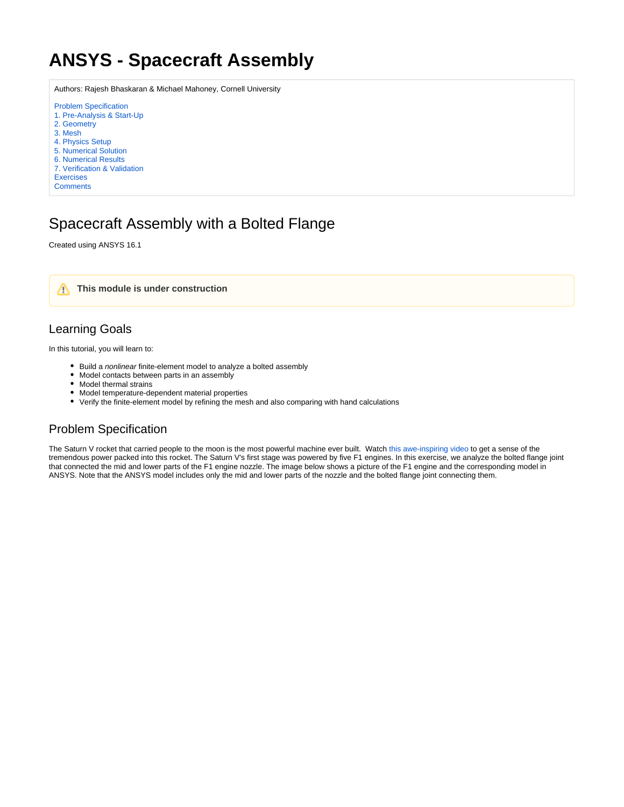## <span id="page-0-0"></span>**ANSYS - Spacecraft Assembly**

Authors: Rajesh Bhaskaran & Michael Mahoney, Cornell University

[Problem Specification](#page-0-0) [1. Pre-Analysis & Start-Up](https://confluence.cornell.edu/pages/viewpage.action?pageId=326381475) [2. Geometry](https://confluence.cornell.edu/display/SIMULATION/Spacecraft+Assembly+-+Geometry) [3. Mesh](https://confluence.cornell.edu/display/SIMULATION/Spacecraft+Assembly+-+Mesh) [4. Physics Setup](https://confluence.cornell.edu/display/SIMULATION/Spacecraft+Assembly+-+Physics+Setup) [5. Numerical Solution](https://confluence.cornell.edu/display/SIMULATION/Spacecraft+Assembly+-+Numerical+Solution) [6. Numerical Results](https://confluence.cornell.edu/display/SIMULATION/Spacecraft+Assembly+-+Numerical+Results) [7. Verification & Validation](https://confluence.cornell.edu/pages/viewpage.action?pageId=326381482) [Exercises](https://confluence.cornell.edu/display/SIMULATION/Spacecraft+Assembly+-+Exercises) **[Comments](https://confluence.cornell.edu/display/SIMULATION/Spacecraft+Assembly+-+Comments)** 

### Spacecraft Assembly with a Bolted Flange

Created using ANSYS 16.1



#### Learning Goals

In this tutorial, you will learn to:

- Build a nonlinear finite-element model to analyze a bolted assembly
- Model contacts between parts in an assembly
- Model thermal strains
- Model temperature-dependent material properties
- Verify the finite-element model by refining the mesh and also comparing with hand calculations

#### Problem Specification

The Saturn V rocket that carried people to the moon is the most powerful machine ever built. Watch [this awe-inspiring video](https://youtu.be/FzCsDVfPQqk) to get a sense of the tremendous power packed into this rocket. The Saturn V's first stage was powered by five F1 engines. In this exercise, we analyze the bolted flange joint that connected the mid and lower parts of the F1 engine nozzle. The image below shows a picture of the F1 engine and the corresponding model in ANSYS. Note that the ANSYS model includes only the mid and lower parts of the nozzle and the bolted flange joint connecting them.